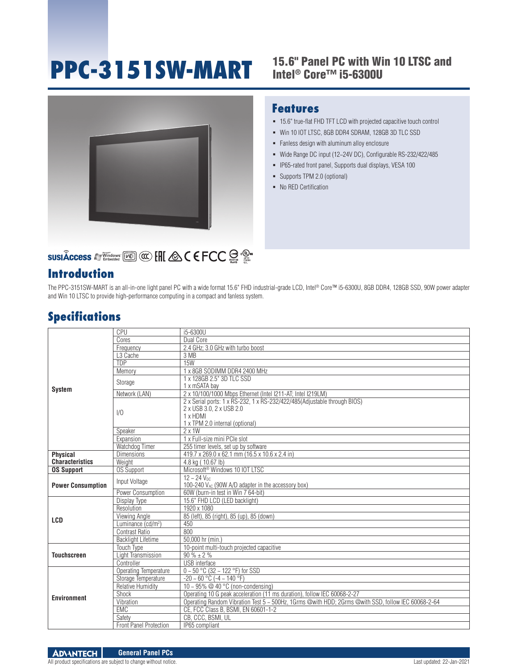# **PPC-3151SW-MART**

#### 15.6" Panel PC with Win 10 LTSC and Intel® Core™ i5-6300U



# **SUSIÂCCESS A Windows [Kell] @ [HI & C E FCC a : Q : Q :**

## **Introduction**

#### **Features**

- 15.6" true-flat FHD TFT LCD with projected capacitive touch control
- Win 10 IOT LTSC, 8GB DDR4 SDRAM, 128GB 3D TLC SSD
- Fanless design with aluminum alloy enclosure
- Wide Range DC input (12~24V DC), Configurable RS-232/422/485
- IP65-rated front panel, Supports dual displays, VESA 100
- Supports TPM 2.0 (optional)
- No RED Certification

The PPC-3151SW-MART is an all-in-one light panel PC with a wide format 15.6" FHD industrial-grade LCD, Intel® Core™ i5-6300U, 8GB DDR4, 128GB SSD, 90W power adapter and Win 10 LTSC to provide high-performance computing in a compact and fanless system.

## **Specifications**

| <b>System</b>            | CPU                            | i5-6300U                                                                                                                                             |
|--------------------------|--------------------------------|------------------------------------------------------------------------------------------------------------------------------------------------------|
|                          | Cores                          | Dual Core                                                                                                                                            |
|                          | Frequency                      | 2.4 GHz; 3.0 GHz with turbo boost                                                                                                                    |
|                          | L <sub>3</sub> Cache           | 3 MB                                                                                                                                                 |
|                          | <b>TDP</b>                     | <b>15W</b>                                                                                                                                           |
|                          | Memory                         | 1 x 8GB SODIMM DDR4 2400 MHz                                                                                                                         |
|                          | Storage                        | 1 x 128GB 2.5" 3D TLC SSD<br>1 x mSATA bay                                                                                                           |
|                          | Network (LAN)                  | 2 x 10/100/1000 Mbps Ethernet (Intel I211-AT; Intel I219LM)                                                                                          |
|                          | 1/0                            | 2 x Serial ports: 1 x RS-232, 1 x RS-232/422/485(Adjustable through BIOS)<br>2 x USB 3.0, 2 x USB 2.0<br>1 x HDMI<br>1 x TPM 2.0 internal (optional) |
|                          | Speaker                        | $2 \times 1W$                                                                                                                                        |
|                          | Expansion                      | 1 x Full-size mini PCIe slot                                                                                                                         |
|                          | Watchdog Timer                 | 255 timer levels, set up by software                                                                                                                 |
| <b>Physical</b>          | <b>Dimensions</b>              | 419.7 x 269.0 x 62.1 mm (16.5 x 10.6 x 2.4 in)                                                                                                       |
| <b>Characteristics</b>   | Weight                         | 4.8 kg (10.67 lb)                                                                                                                                    |
| <b>OS Support</b>        | <b>OS Support</b>              | Microsoft <sup>®</sup> Windows 10 IOT LTSC                                                                                                           |
| <b>Power Consumption</b> | Input Voltage                  | $12 - 24$ V <sub>nc</sub><br>100-240 VAC (90W A/D adapter in the accessory box)                                                                      |
|                          | Power Consumption              | 60W (burn-in test in Win 7 64-bit)                                                                                                                   |
|                          | Display Type                   | 15.6" FHD LCD (LED backlight)                                                                                                                        |
|                          | Resolution                     | 1920 x 1080                                                                                                                                          |
| LCD                      | Viewing Angle                  | 85 (left), 85 (right), 85 (up), 85 (down)                                                                                                            |
|                          | Luminance (cd/m <sup>2</sup> ) | 450                                                                                                                                                  |
|                          | Contrast Ratio                 | 800                                                                                                                                                  |
|                          | <b>Backlight Lifetime</b>      | 50,000 hr (min.)                                                                                                                                     |
| <b>Touchscreen</b>       | Touch Type                     | 10-point multi-touch projected capacitive                                                                                                            |
|                          | Light Transmission             | $90\% \pm 2\%$                                                                                                                                       |
|                          | Controller                     | <b>USB</b> interface                                                                                                                                 |
| <b>Environment</b>       | Operating Temperature          | $0 \sim 50$ °C (32 ~ 122 °F) for SSD                                                                                                                 |
|                          | Storage Temperature            | $-20 \sim 60$ °C ( $-4 \sim 140$ °F)                                                                                                                 |
|                          | Relative Humidity              | $10 \sim 95\%$ @ 40 °C (non-condensing)                                                                                                              |
|                          | Shock                          | Operating 10 G peak acceleration (11 ms duration), follow IEC 60068-2-27                                                                             |
|                          | Vibration                      | Operating Random Vibration Test 5 ~ 500Hz, 1Grms @with HDD; 2Grms @with SSD, follow IEC 60068-2-64                                                   |
|                          | EMC                            | CE, FCC Class B, BSMI, EN 60601-1-2                                                                                                                  |
|                          | Safety                         | CB. CCC. BSMI. UL                                                                                                                                    |
|                          | Front Panel Protection         | IP65 compliant                                                                                                                                       |